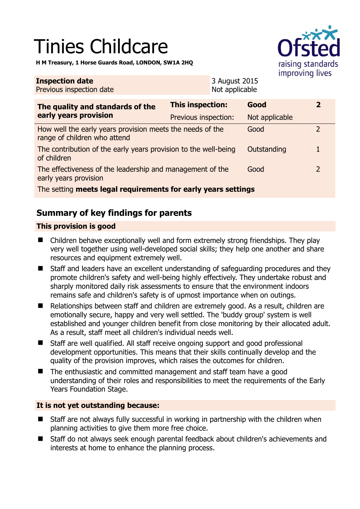# Tinies Childcare

**H M Treasury, 1 Horse Guards Road, LONDON, SW1A 2HQ** 



| <b>Inspection date</b><br>Previous inspection date                                        |                         | 3 August 2015<br>Not applicable |                |                |  |
|-------------------------------------------------------------------------------------------|-------------------------|---------------------------------|----------------|----------------|--|
| The quality and standards of the<br>early years provision                                 | <b>This inspection:</b> |                                 | Good           | $\overline{2}$ |  |
|                                                                                           | Previous inspection:    |                                 | Not applicable |                |  |
| How well the early years provision meets the needs of the<br>range of children who attend |                         |                                 | Good           | $\mathcal{P}$  |  |
| The contribution of the early years provision to the well-being<br>of children            |                         |                                 | Outstanding    |                |  |
| The effectiveness of the leadership and management of the<br>early years provision        |                         |                                 | Good           | 2              |  |
| The setting meets legal requirements for early years settings                             |                         |                                 |                |                |  |

## **Summary of key findings for parents**

#### **This provision is good**

- Children behave exceptionally well and form extremely strong friendships. They play very well together using well-developed social skills; they help one another and share resources and equipment extremely well.
- Staff and leaders have an excellent understanding of safeguarding procedures and they promote children's safety and well-being highly effectively. They undertake robust and sharply monitored daily risk assessments to ensure that the environment indoors remains safe and children's safety is of upmost importance when on outings.
- Relationships between staff and children are extremely good. As a result, children are emotionally secure, happy and very well settled. The 'buddy group' system is well established and younger children benefit from close monitoring by their allocated adult. As a result, staff meet all children's individual needs well.
- Staff are well qualified. All staff receive ongoing support and good professional development opportunities. This means that their skills continually develop and the quality of the provision improves, which raises the outcomes for children.
- The enthusiastic and committed management and staff team have a good understanding of their roles and responsibilities to meet the requirements of the Early Years Foundation Stage.

#### **It is not yet outstanding because:**

- Staff are not always fully successful in working in partnership with the children when planning activities to give them more free choice.
- Staff do not always seek enough parental feedback about children's achievements and interests at home to enhance the planning process.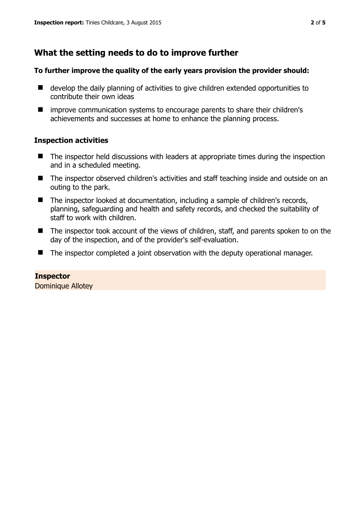## **What the setting needs to do to improve further**

#### **To further improve the quality of the early years provision the provider should:**

- develop the daily planning of activities to give children extended opportunities to contribute their own ideas
- improve communication systems to encourage parents to share their children's achievements and successes at home to enhance the planning process.

#### **Inspection activities**

- The inspector held discussions with leaders at appropriate times during the inspection and in a scheduled meeting.
- The inspector observed children's activities and staff teaching inside and outside on an outing to the park.
- The inspector looked at documentation, including a sample of children's records, planning, safeguarding and health and safety records, and checked the suitability of staff to work with children.
- The inspector took account of the views of children, staff, and parents spoken to on the day of the inspection, and of the provider's self-evaluation.
- The inspector completed a joint observation with the deputy operational manager.

**Inspector**  Dominique Allotey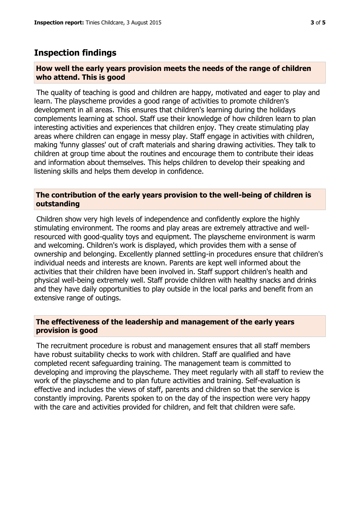### **Inspection findings**

#### **How well the early years provision meets the needs of the range of children who attend. This is good**

The quality of teaching is good and children are happy, motivated and eager to play and learn. The playscheme provides a good range of activities to promote children's development in all areas. This ensures that children's learning during the holidays complements learning at school. Staff use their knowledge of how children learn to plan interesting activities and experiences that children enjoy. They create stimulating play areas where children can engage in messy play. Staff engage in activities with children, making 'funny glasses' out of craft materials and sharing drawing activities. They talk to children at group time about the routines and encourage them to contribute their ideas and information about themselves. This helps children to develop their speaking and listening skills and helps them develop in confidence.

#### **The contribution of the early years provision to the well-being of children is outstanding**

Children show very high levels of independence and confidently explore the highly stimulating environment. The rooms and play areas are extremely attractive and wellresourced with good-quality toys and equipment. The playscheme environment is warm and welcoming. Children's work is displayed, which provides them with a sense of ownership and belonging. Excellently planned settling-in procedures ensure that children's individual needs and interests are known. Parents are kept well informed about the activities that their children have been involved in. Staff support children's health and physical well-being extremely well. Staff provide children with healthy snacks and drinks and they have daily opportunities to play outside in the local parks and benefit from an extensive range of outings.

#### **The effectiveness of the leadership and management of the early years provision is good**

The recruitment procedure is robust and management ensures that all staff members have robust suitability checks to work with children. Staff are qualified and have completed recent safeguarding training. The management team is committed to developing and improving the playscheme. They meet regularly with all staff to review the work of the playscheme and to plan future activities and training. Self-evaluation is effective and includes the views of staff, parents and children so that the service is constantly improving. Parents spoken to on the day of the inspection were very happy with the care and activities provided for children, and felt that children were safe.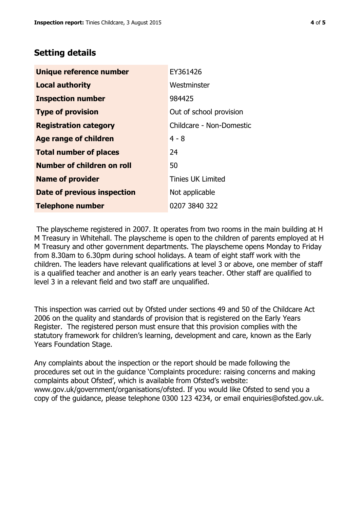## **Setting details**

| Unique reference number           | EY361426                 |  |
|-----------------------------------|--------------------------|--|
| <b>Local authority</b>            | Westminster              |  |
| <b>Inspection number</b>          | 984425                   |  |
| <b>Type of provision</b>          | Out of school provision  |  |
| <b>Registration category</b>      | Childcare - Non-Domestic |  |
| Age range of children             | $4 - 8$                  |  |
| <b>Total number of places</b>     | 24                       |  |
| <b>Number of children on roll</b> | 50                       |  |
| <b>Name of provider</b>           | <b>Tinies UK Limited</b> |  |
| Date of previous inspection       | Not applicable           |  |
| <b>Telephone number</b>           | 0207 3840 322            |  |

The playscheme registered in 2007. It operates from two rooms in the main building at H M Treasury in Whitehall. The playscheme is open to the children of parents employed at H M Treasury and other government departments. The playscheme opens Monday to Friday from 8.30am to 6.30pm during school holidays. A team of eight staff work with the children. The leaders have relevant qualifications at level 3 or above, one member of staff is a qualified teacher and another is an early years teacher. Other staff are qualified to level 3 in a relevant field and two staff are unqualified.

This inspection was carried out by Ofsted under sections 49 and 50 of the Childcare Act 2006 on the quality and standards of provision that is registered on the Early Years Register. The registered person must ensure that this provision complies with the statutory framework for children's learning, development and care, known as the Early Years Foundation Stage.

Any complaints about the inspection or the report should be made following the procedures set out in the guidance 'Complaints procedure: raising concerns and making complaints about Ofsted', which is available from Ofsted's website: www.gov.uk/government/organisations/ofsted. If you would like Ofsted to send you a copy of the guidance, please telephone 0300 123 4234, or email enquiries@ofsted.gov.uk.